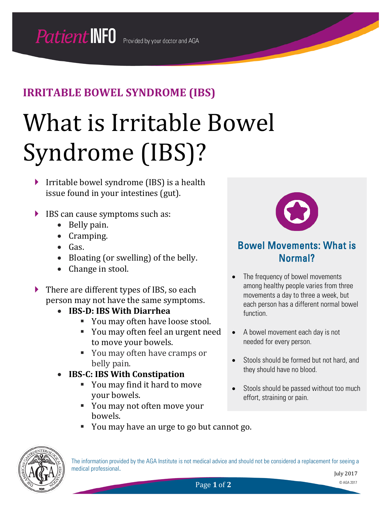# What is Irritable Bowel Syndrome (IBS)?

- $\triangleright$  Irritable bowel syndrome (IBS) is a health issue found in your intestines (gut).
- ▶ IBS can cause symptoms such as:
	- Belly pain.
	- Cramping.
	- Gas.
	- Bloating (or swelling) of the belly.
	- Change in stool.
- ▶ There are different types of IBS, so each person may not have the same symptoms.
	- **IBS-D: IBS With Diarrhea**
		- You may often have loose stool.
		- You may often feel an urgent need to move your bowels.
		- You may often have cramps or belly pain.
	- **IBS-C: IBS With Constipation**
		- You may find it hard to move your bowels.
		- You may not often move your bowels.



### Bowel Movements: What is Normal?

- The frequency of bowel movements among healthy people varies from three movements a day to three a week, but each person has a different normal bowel function.
- A bowel movement each day is not needed for every person.
- Stools should be formed but not hard, and they should have no blood.
- Stools should be passed without too much effort, straining or pain.
- You may have an urge to go but cannot go.



The information provided by the AGA Institute is not medical advice and should not be considered a replacement for seeing a medical professional.

Page 1 of 2 © AGA 2017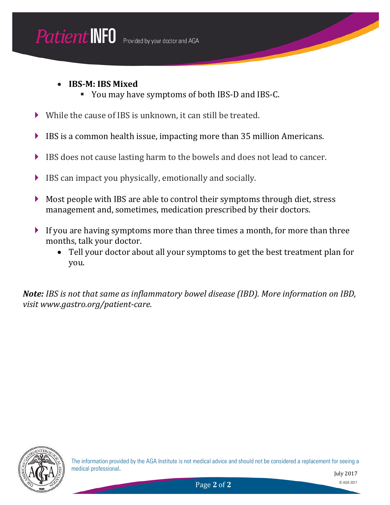#### • **IBS-M: IBS Mixed**

- You may have symptoms of both IBS-D and IBS-C.
- While the cause of IBS is unknown, it can still be treated.
- $\blacktriangleright$  IBS is a common health issue, impacting more than 35 million Americans.
- IBS does not cause lasting harm to the bowels and does not lead to cancer.
- $\blacktriangleright$  IBS can impact you physically, emotionally and socially.
- Most people with IBS are able to control their symptoms through diet, stress management and, sometimes, medication prescribed by their doctors.
- If you are having symptoms more than three times a month, for more than three months, talk your doctor.
	- Tell your doctor about all your symptoms to get the best treatment plan for you.

*Note: IBS is not that same as inflammatory bowel disease (IBD). More information on IBD, visit www.gastro.org/patient-care.*

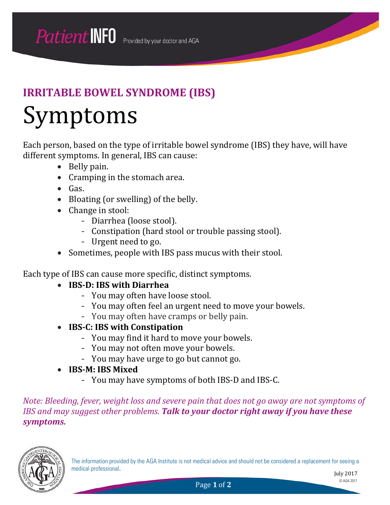# Symptoms

Each person, based on the type of irritable bowel syndrome (IBS) they have, will have different symptoms. In general, IBS can cause:

- Belly pain.
- Cramping in the stomach area.
- Gas.
- Bloating (or swelling) of the belly.
- Change in stool:
	- Diarrhea (loose stool).
	- Constipation (hard stool or trouble passing stool).
	- Urgent need to go.
- Sometimes, people with IBS pass mucus with their stool.

Each type of IBS can cause more specific, distinct symptoms.

- **IBS-D: IBS with Diarrhea**
	- You may often have loose stool.
	- You may often feel an urgent need to move your bowels.
	- You may often have cramps or belly pain.
- **IBS-C: IBS with Constipation**
	- You may find it hard to move your bowels.
	- You may not often move your bowels.
	- You may have urge to go but cannot go.
- **IBS-M: IBS Mixed**
	- You may have symptoms of both IBS-D and IBS-C.

*Note: Bleeding, fever, weight loss and severe pain that does not go away are not symptoms of IBS and may suggest other problems. Talk to your doctor right away if you have these symptoms.*



The information provided by the AGA Institute is not medical advice and should not be considered a replacement for seeing a medical professional.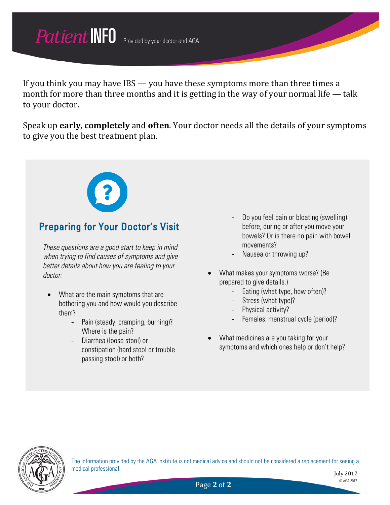If you think you may have IBS — you have these symptoms more than three times a month for more than three months and it is getting in the way of your normal life — talk to your doctor.

Speak up **early**, **completely** and **often**. Your doctor needs all the details of your symptoms to give you the best treatment plan.



### Preparing for Your Doctor's Visit

*These questions are a good start to keep in mind when trying to find causes of symptoms and give better details about how you are feeling to your doctor:*

- What are the main symptoms that are bothering you and how would you describe them?
	- Pain (steady, cramping, burning)? Where is the pain?
	- Diarrhea (loose stool) or constipation (hard stool or trouble passing stool) or both?
- Do you feel pain or bloating (swelling) before, during or after you move your bowels? Or is there no pain with bowel movements?
- Nausea or throwing up?
- What makes your symptoms worse? (Be prepared to give details.)
	- Eating (what type, how often)?
	- Stress (what type)?
	- Physical activity?
	- Females: menstrual cycle (period)?
- What medicines are you taking for your symptoms and which ones help or don't help?



The information provided by the AGA Institute is not medical advice and should not be considered a replacement for seeing a medical professional.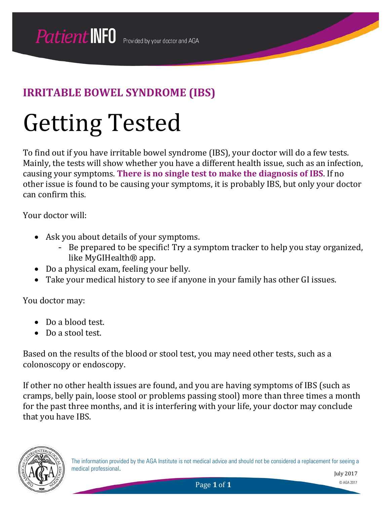# Getting Tested

To find out if you have irritable bowel syndrome (IBS), your doctor will do a few tests. Mainly, the tests will show whether you have a different health issue, such as an infection, causing your symptoms. **There is no single test to make the diagnosis of IBS**. If no other issue is found to be causing your symptoms, it is probably IBS, but only your doctor can confirm this.

Your doctor will:

- Ask you about details of your symptoms.
	- Be prepared to be specific! Try a symptom tracker to help you stay organized, like MyGIHealth® app.
- Do a physical exam, feeling your belly.
- Take your medical history to see if anyone in your family has other GI issues.

You doctor may:

- Do a blood test.
- Do a stool test.

Based on the results of the blood or stool test, you may need other tests, such as a colonoscopy or endoscopy.

If other no other health issues are found, and you are having symptoms of IBS (such as cramps, belly pain, loose stool or problems passing stool) more than three times a month for the past three months, and it is interfering with your life, your doctor may conclude that you have IBS.

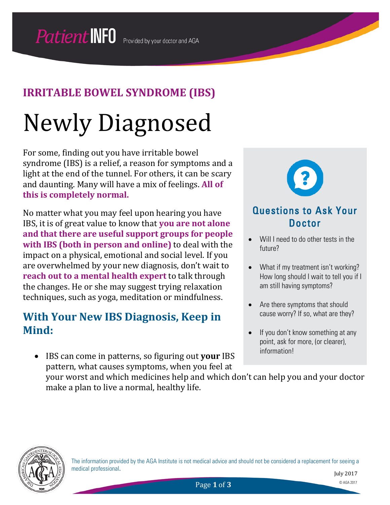# Newly Diagnosed

For some, finding out you have irritable bowel syndrome (IBS) is a relief, a reason for symptoms and a light at the end of the tunnel. For others, it can be scary and daunting. Many will have a mix of feelings. **All of this is completely normal.**

No matter what you may feel upon hearing you have IBS, it is of great value to know that **you are not alone and that there are useful support groups for people with IBS (both in person and online)** to deal with the impact on a physical, emotional and social level. If you are overwhelmed by your new diagnosis, don't wait to **reach out to a mental health expert** to talk through the changes. He or she may suggest trying relaxation techniques, such as yoga, meditation or mindfulness.

### **With Your New IBS Diagnosis, Keep in Mind:**

• IBS can come in patterns, so figuring out **your** IBS pattern, what causes symptoms, when you feel at



#### Questions to Ask Your Doctor

- Will I need to do other tests in the future?
- What if my treatment isn't working? How long should I wait to tell you if I am still having symptoms?
- Are there symptoms that should cause worry? If so, what are they?
- If you don't know something at any point, ask for more, (or clearer), information!

your worst and which medicines help and which don't can help you and your doctor make a plan to live a normal, healthy life.



The information provided by the AGA Institute is not medical advice and should not be considered a replacement for seeing a medical professional.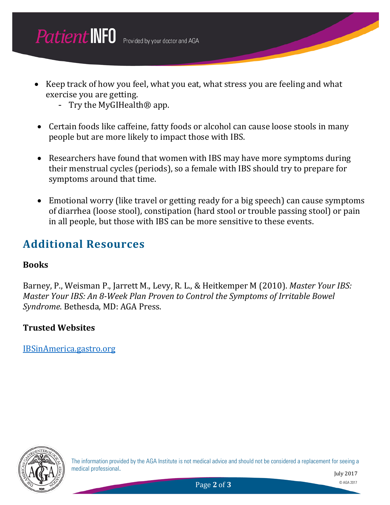- Keep track of how you feel, what you eat, what stress you are feeling and what exercise you are getting.
	- Try the MyGIHealth® app.
- Certain foods like caffeine, fatty foods or alcohol can cause loose stools in many people but are more likely to impact those with IBS.
- Researchers have found that women with IBS may have more symptoms during their menstrual cycles (periods), so a female with IBS should try to prepare for symptoms around that time.
- Emotional worry (like travel or getting ready for a big speech) can cause symptoms of diarrhea (loose stool), constipation (hard stool or trouble passing stool) or pain in all people, but those with IBS can be more sensitive to these events.

### **Additional Resources**

#### **Books**

Barney, P., Weisman P., Jarrett M., Levy, R. L., & Heitkemper M (2010). *Master Your IBS: Master Your IBS: An 8-Week Plan Proven to Control the Symptoms of Irritable Bowel Syndrome*. Bethesda, MD: AGA Press.

#### **Trusted Websites**

IBSinAmerica.gastro.org



The information provided by the AGA Institute is not medical advice and should not be considered a replacement for seeing a medical professional.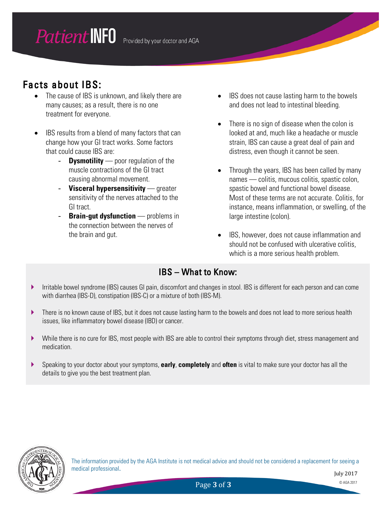### Facts about IBS:

- The cause of IBS is unknown, and likely there are many causes; as a result, there is no one treatment for everyone.
- IBS results from a blend of many factors that can change how your GI tract works. Some factors that could cause IBS are:
	- **Dysmotility** poor regulation of the muscle contractions of the GI tract causing abnormal movement.
	- **Visceral hypersensitivity** greater sensitivity of the nerves attached to the GI tract.
	- **Brain-gut dysfunction** problems in the connection between the nerves of the brain and gut.
- IBS does not cause lasting harm to the bowels and does not lead to intestinal bleeding.
- There is no sign of disease when the colon is looked at and, much like a headache or muscle strain, IBS can cause a great deal of pain and distress, even though it cannot be seen.
- Through the years, IBS has been called by many names — colitis, mucous colitis, spastic colon, spastic bowel and functional bowel disease. Most of these terms are not accurate. Colitis, for instance, means inflammation, or swelling, of the large intestine (colon).
- IBS, however, does not cause inflammation and should not be confused with ulcerative colitis, which is a more serious health problem.

#### IBS – What to Know:

- Irritable bowel syndrome (IBS) causes GI pain, discomfort and changes in stool. IBS is different for each person and can come with diarrhea (IBS-D), constipation (IBS-C) or a mixture of both (IBS-M).
- There is no known cause of IBS, but it does not cause lasting harm to the bowels and does not lead to more serious health issues, like inflammatory bowel disease (IBD) or cancer.
- While there is no cure for IBS, most people with IBS are able to control their symptoms through diet, stress management and medication.
- Speaking to your doctor about your symptoms, **early**, **completely** and **often** is vital to make sure your doctor has all the details to give you the best treatment plan.



The information provided by the AGA Institute is not medical advice and should not be considered a replacement for seeing a medical professional.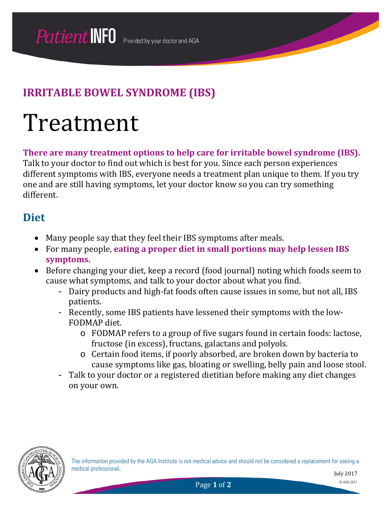# Treatment

**There are many treatment options to help care for irritable bowel syndrome (IBS).** 

Talk to your doctor to find out which is best for you. Since each person experiences different symptoms with IBS, everyone needs a treatment plan unique to them. If you try one and are still having symptoms, let your doctor know so you can try something different.

### **Diet**

- Many people say that they feel their IBS symptoms after meals.
- For many people, **eating a proper diet in small portions may help lessen IBS symptoms.**
- Before changing your diet, keep a record (food journal) noting which foods seem to cause what symptoms, and talk to your doctor about what you find.
	- Dairy products and high-fat foods often cause issues in some, but not all, IBS patients.
	- Recently, some IBS patients have lessened their symptoms with the low-FODMAP diet.
		- o FODMAP refers to a group of five sugars found in certain foods: lactose, fructose (in excess), fructans, galactans and polyols.
		- o Certain food items, if poorly absorbed, are broken down by bacteria to cause symptoms like gas, bloating or swelling, belly pain and loose stool.
	- Talk to your doctor or a registered dietitian before making any diet changes on your own.



The information provided by the AGA Institute is not medical advice and should not be considered a replacement for seeing a medical professional.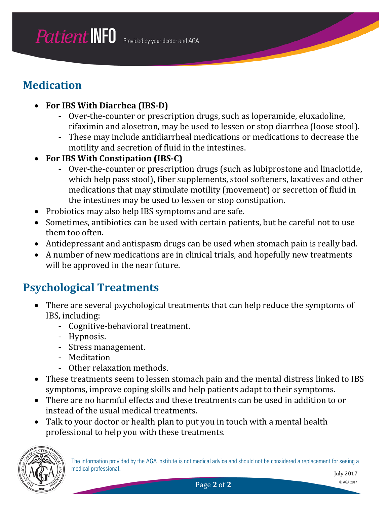## **Medication**

- **For IBS With Diarrhea (IBS-D)**
	- Over-the-counter or prescription drugs, such as loperamide, eluxadoline, rifaximin and alosetron, may be used to lessen or stop diarrhea (loose stool).
	- These may include antidiarrheal medications or medications to decrease the motility and secretion of fluid in the intestines.
- **For IBS With Constipation (IBS-C)**
	- Over-the-counter or prescription drugs (such as lubiprostone and linaclotide, which help pass stool), fiber supplements, stool softeners, laxatives and other medications that may stimulate motility (movement) or secretion of fluid in the intestines may be used to lessen or stop constipation.
- Probiotics may also help IBS symptoms and are safe.
- Sometimes, antibiotics can be used with certain patients, but be careful not to use them too often.
- Antidepressant and antispasm drugs can be used when stomach pain is really bad.
- A number of new medications are in clinical trials, and hopefully new treatments will be approved in the near future.

## **Psychological Treatments**

- There are several psychological treatments that can help reduce the symptoms of IBS, including:
	- Cognitive-behavioral treatment.
	- Hypnosis.
	- Stress management.
	- Meditation
	- Other relaxation methods.
- These treatments seem to lessen stomach pain and the mental distress linked to IBS symptoms, improve coping skills and help patients adapt to their symptoms.
- There are no harmful effects and these treatments can be used in addition to or instead of the usual medical treatments.
- Talk to your doctor or health plan to put you in touch with a mental health professional to help you with these treatments.



The information provided by the AGA Institute is not medical advice and should not be considered a replacement for seeing a medical professional.